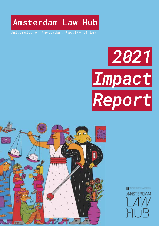



# *2021 Impact Report*

University of Amsterdam, Faculty of Law

Amsterdam Law Hub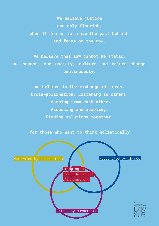**We believe justice can only flourish, when it learns to leave the past behind, and focus on the now.** 

**We believe that law cannot be static. As humans; our society, culture and values change continuously.**

> **We believe in the exchange of ideas. Cross-pollination. Listening to others. Learning from each other. Assessing and adapting. Finding solutions together.**

**for those who want to think holistically**

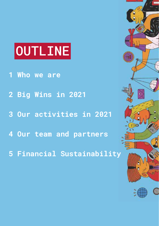# OUTLINE

- **1 Who we are**
- **2 Big Wins in 2021**
- **3 Our activities in 2021**
- **4 Our team and partners**
- **5 Financial Sustainability**

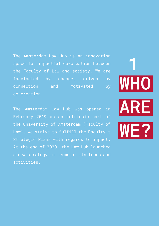The Amsterdam Law Hub is an innovation space for impactful co-creation between the Faculty of Law and society. We are fascinated by change, driven by connection and motivated by co-creation.

The Amsterdam Law Hub was opened in February 2019 as an intrinsic part of the University of Amsterdam (Faculty of Law). We strive to fulfill the Faculty's Strategic Plans with regards to impact. At the end of 2020, the Law Hub launched a new strategy in terms of its focus and activities.

WHO ARE W**E? 1**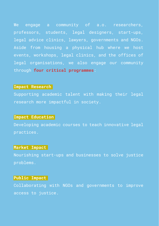We engage a community of a.o. researchers, professors, students, legal designers, start-ups, legal advice clinics, lawyers, governments and NGOs. Aside from housing a physical hub where we host events, workshops, legal clinics, and the offices of legal organisations, we also engage our community through **four critical programmes**:

#### **Impact Research**

Supporting academic talent with making their legal research more impactful in society.

#### **Impact Education**

Developing academic courses to teach innovative legal practices.

#### **Market Impact**

Nourishing start-ups and businesses to solve justice problems.

#### **Public Impact**

Collaborating with NGOs and governments to improve access to justice.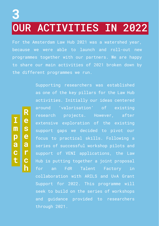# OUR ACTIVITIES IN 2022 **3**

For the Amsterdam Law Hub 2021 was a watershed year, because we were able to launch and roll-out new programmes together with our partners. We are happy to share our main activities of 2021 broken down by the different programmes we run.

**I**

**R**

**e**

**s**

**e**

**a**

**r**

**c**

**h**

**m**

**p a c**

**t**

Supporting researchers was established as one of the key pillars for the Law Hub activities. Initially our ideas centered around 'valorisation' of existing research projects. However, after extensive exploration of the existing support gaps we decided to pivot our focus to practical skills. Following a series of successful workshop pilots and support of VENI applications, the Law Hub is putting together a joint proposal for an FdR Talent Factory in collaboration with ARILS and UvA Grant Support for 2022. This programme will seek to build on the series of workshops and guidance provided to researchers through 2021.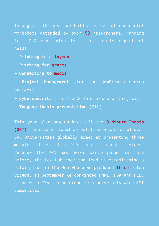Throughout the year we held a number of successful workshops attended by over 50 researchers, ranging from PhD candidates to inter faculty department heads:

- **Pitching to a layman**
- **Pitching for grants**
- **Connecting to media**
- **Project Management** (for the ComCrim research project)
- **Cybersecurity** (for the ComCrim research project)
- **Toogdag thesis presentation** (PIL)

This year also saw us kick off the **3-Minute-Thesis (3MT)**, an international competition organized at over 800 Universities globally aimed at presenting three minute pitches of a PhD thesis through a video. Because the UvA has never participated in this before, the Law Hub took the lead in establishing a pilot phase in the Hub where we produced three pitch videos. In September we convinced FNWI, FGW and FEB, along with IXA, to co-organize a university wide 3MT competition.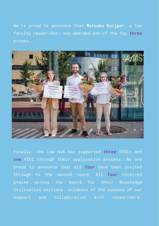We're proud to announce that **Malouke Kuijper**, a law faculty researcher, was awarded one of the top three prizes.



Finally, the Law Hub has supported three VENIs and one VIDI through their application process. We are proud to announce that all four have been invited through to the second round. All four received praise across the board for their Knowledge Utilisation sections, evidence of the success of our support and collaboration with researchers.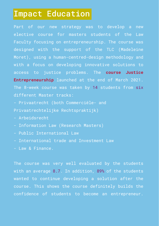### Impact Education

Part of our new strategy was to develop a new elective course for masters students of the Law Faculty focusing on entrepreneurship. The course was designed with the support of the TLC (Madeleine Moret), using a human-centred-design methodology and with a focus on developing innovative solutions to access to justice problems. The **course Justice Entrepreneurship** launched at the end of March 2021. The 8-week course was taken by 14 students from six different Master tracks:

- Privaatrecht (both Commerciële- and
- Privaatrechtelijke Rechtspraktijk)
- Arbeidsrecht
- Information Law (Research Masters)
- Public International Law
- International trade and Investment Law
- Law & Finance.

The course was very well evaluated by the students with an average 8.7. In addition, 89% of the students wanted to continue developing a solution after the course. This shows the course definitely builds the confidence of students to become an entrepreneur.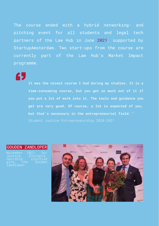The course ended with a hybrid networking- and pitching event for all students and legal tech partners of the Law Hub in June 2021, supported by StartupAmsterdam. Two start-ups from the course are currently part of the Law Hub's Market Impact programme.

65

**It was the nicest course I had during my studies. It is a time-consuming course, but you get so much out of it if you put a lot of work into it. The tools and guidance you get are very good. Of course, a lot is expected of you, but that's necessary in the entrepreneurial field.''** 

#### GOUDEN ZANDLOPER

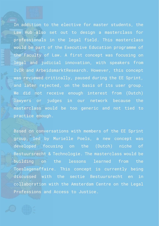In addition to the elective for master students, the Law Hub also set out to design a masterclass for professionals in the legal field. This masterclass would be part of the Executive Education programme of the Faculty of Law. A first concept was focusing on legal and judicial innovation, with speakers from IvIR and ArbeidsmarktResearch. However, this concept was reviewed critically, paused during the EE Sprint, and later rejected, on the basis of its user group. We did not receive enough interest from (Dutch) lawyers or judges in our network because the masterclass would be too generic and not tied to practice enough.

Based on conversations with members of the EE Sprint group, led by Murielle Poels, a new concept was developed focusing on the (Dutch) niche of Bestuursrecht & Technologie. The masterclass would be building on the lessons learned from the Toeslagenaffaire. This concept is currently being discussed with the sectie Bestuursrecht en in collaboration with the Amsterdam Centre on the Legal Professions and Access to Justice.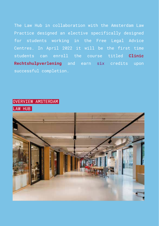The Law Hub in collaboration with the Amsterdam Law Practice designed an elective specifically designed for students working in the Free Legal Advice Centres. In April 2022 it will be the first time students can enroll the course titled **Clinic Rechtshulpverlening** and earn six credits upon successful completion.

#### OVERVIEW AMSTERDAM

LAW HUB

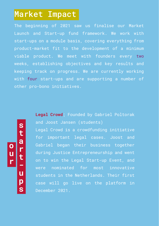### Market Impact

The beginning of 2021 saw us finalise our Market Launch and Start-up fund framework. We work with start-ups on a module basis, covering everything from product-market fit to the development of a minimum viable product. We meet with founders every two weeks, establishing objectives and key results and keeping track on progress. We are currently working with four start-ups and are supporting a number of other pro-bono initiatives.

**o u r s t a r t u p s** **Legal Crowd**; Founded by Gabriel Poltorak and Joost Jansen (students) Legal Crowd is a crowdfunding initiative for important legal cases. Joost and Gabriel began their business together during Justice Entrepreneurship and went on to win the Legal Start-up Event, and were nominated for most innovative students in the Netherlands. Their first case will go live on the platform in December 2021.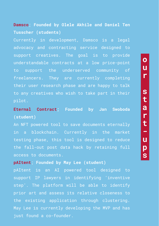#### **Damsco**; **Founded by Olele Akhile and Daniel Ten Tusscher (students)**

Currently in development, Damsco is a legal advocacy and contracting service designed to support creatives. The goal is to provide understandable contracts at a low price-point to support the underserved community of freelancers. They are currently completing their user research phase and are happy to talk to any creatives who wish to take part in their pilot.

#### **Eternal Contract; Founded by Jan Swoboda (student)**

An NFT powered tool to save documents eternally in a blockchain. Currently in the market testing phase, this tool is designed to reduce the fall-out post data hack by retaining full access to documents.

#### **pAItent**; **Founded by May Lee (student)**

pAItent is an AI powered tool designed to support IP lawyers in identifying 'inventive step'. The platform will be able to identify prior art and assess its relative closeness to the existing application through clustering. May Lee is currently developing the MVP and has just found a co-founder.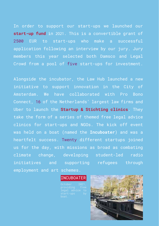In order to support our start-ups we launched our **start-up fund** in 2021. This is a convertible grant of 2500 EUR to start-ups who make a successful application following an interview by our jury. Jury members this year selected both Damsco and Legal Crowd from a pool of five start-ups for investment.

Alongside the incubator, the Law Hub launched a new initiative to support innovation in the City of Amsterdam. We have collaborated with Pro Bono Connect, 16 of the Netherlands' largest law firms and Uber to launch the **Startup & Stichting clinics**. They take the form of a series of themed free legal advice clinics for start-ups and NGOs. The kick off event was held on a boat (named the **Incuboater**) and was a heartfelt success. Twenty different startups joined us for the day, with missions as broad as combating climate change, developing student-led radio initiatives and supporting refugees through employment and art schemes.

#### **INCUBOATER**

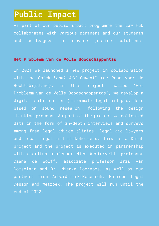### Public Impact

As part of our public impact programme the Law Hub collaborates with various partners and our students and colleagues to provide justice solutions.

#### **Het Probleem van de Volle Boodschappentas**

In 2021 we launched a new project in collaboration with the *Dutch Legal Aid Council* (de Raad voor de Rechtsbijstand). In this project, called 'Het Probleem van de Volle Boodschappentas', we develop a digital solution for (informal) legal aid providers based on sound research, following the design thinking process. As part of the project we collected data in the form of in-depth interviews and surveys among free legal advice clinics, legal aid lawyers and local legal aid stakeholders. This is a Dutch project and the project is executed in partnership with emeritus professor Mies Westerveld, professor Diana de Wolff, associate professor Iris van Domselaar and Dr. Nienke Doornbos, as well as our partners from ArbeidsmarktResearch, Patroon Legal Design and Wetzoek. The project will run until the end of 2022.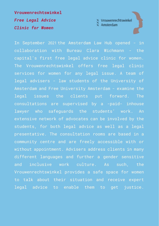**Vrouwenrechtswinkel** *Free Legal Advice Clinic for Women*



In September 2021 the Amsterdam Law Hub opened - in collaboration with Bureau Clara Wichmann - the capital's first free legal advice clinic for women. The Vrouwenrechtswinkel offers free legal clinic services for women for any legal issue. A team of legal advisers - law students of the University of Amsterdam and Free University Amsterdam - examine the legal issues the clients put forward. The consultations are supervised by a -paid- inhouse lawyer who safeguards the students' work. An extensive network of advocates can be involved by the students, for both legal advice as well as a legal presentative. The consultation rooms are based in a community centre and are freely accessible with or without appointment. Advisers address clients in many different languages and further a gender sensitive and inclusive work culture. As such, the Vrouwenrechtswinkel provides a safe space for women to talk about their situation and receive expert legal advice to enable them to get justice.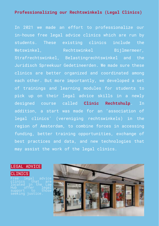#### **Professionalizing our Rechtswinkels (Legal Clinics)**

In 2021 we made an effort to professionalize our in-house free legal advice clinics which are run by students. These existing clinics include the Wetswinkel, Rechtswinkel Bijlmermeer, Strafrechtswinkel, Belastingrechtswinkel and the Juridisch Spreekuur Gedetineerden. We made sure these clinics are better organized and coordinated among each other. But more importantly, we developed a set of trainings and learning modules for students to pick up on their legal advice skills in a newly designed course called **Clinic Rechtshulp**. In addition, a start was made for an 'association of legal clinics' (vereniging rechtswinkels) in the region of Amsterdam, to combine forces in accessing funding, better training opportunities, exchange of best practices and data, and new technologies that may assist the work of the legal clinics.

LEGAL ADVICE

#### **INICS**

inics located in the Law Hub offer legal support to those

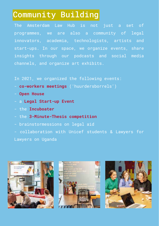# Community Building

The Amsterdam Law Hub is not just a set of programmes, we are also a community of legal innovators, academia, technologists, artists and start-ups. In our space, we organize events, share insights through our podcasts and social media channels, and organize art exhibits.

In 2021, we organized the following events:

- **co-workers meetings** ('huurdersborrels')
- **Open House**
- a **Legal Start-up Event**
- the **Incuboater**
- the **3-Minute-Thesis competition**
- brainstormessions on legal aid
- collaboration with Unicef students & Lawyers for Lawyers on Uganda





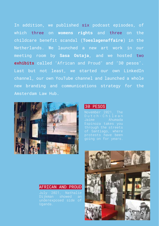In addition, we published six podcast episodes, of which three on **womens rights** and three on the childcare benefit scandal (**Toeslagenaffaire**) in the Netherlands. We launched a new art work in our meeting room by **Sasa Ostaja**, and we hosted two **exhibits** called 'African and Proud' and '30 pesos'. Last but not least, we started our own LinkedIn channel, our own YouTube channel and launched a whole new branding and communications strategy for the Amsterdam Law Hub.



#### 30 PESOS

#### AFRICAN AND PROUD

Uganda.

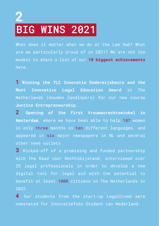# **2 BIG WINS 2021**

What does it matter what we do at the Law Hub? What are we particularly proud of in 2021? We are not too modest to share a list of our **10 biggest achievements** here.

**1 Winning the TLC Innovatie Onderwijsbeurs and the Most Innovative Legal Education Award** in The Netherlands (Gouden Zandlopers) for our new course **Justice Entrepreneurship**.

**2 Opening of the first Vrouwenrechtswinkel in Amsterdam**, where we have been able to help 187 women in only three months in ten different languages, and appeared in six major newspapers in NL and several other news outlets

**3** Kicked-off of a promising and funded partnership with the Raad voor Rechtsbijstand, interviewed over 25 legal professionals in order to develop a new digital tool for legal aid with the potential to benefit at least 1000 citizens in The Netherlands in  $2022$ 

**4** Our students from the start-up LegalCrowd were nominated for Innovatiefste Student van Nederland.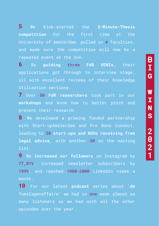**2**

**1**

**5** We kick-started the **3-Minute-Thesis competition** for the first time at the University of Amsterdam, pulled in 4 faculties, and made sure the competition will now be a repeated event at the UvA.

**6** By **guiding** three **FdR VENIs**, their applications got through to interview stage, all with excellent reviews of their Knowledge Utilisation sections.

**7** Over 50 **FdR researchers** took part in our **workshops** and know how to better pitch and present their research.

**8** We developed a growing funded partnership with Start-upAmsterdam and Pro Bono Connect, leading to 20 **start-ups and NGOs receiving free legal advice**, with another 30 on the waiting list.

**9** We **increased our followers** on Instagram by 77,81%, increased newsletter subscribers by 199%, and reached 1000-2000 Linkedin views a month.

**10** For our latest **podcast** series about '**de**  Toeslagenaffaire' we had in one week almost as many listeners as we had with all the other episodes over the year.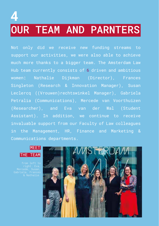# OUR TEAM AND PARNTERS **4**

Not only did we receive new funding streams to support our activities, we were also able to achieve much more thanks to a bigger team. The Amsterdam Law Hub team currently consists of 6 driven and ambitious women: Nathalie Dijkman (Director), Frances Singleton (Research & Innovation Manager), Susan Leclercq ((Vrouwen)rechtswinkel Manager), Gabriela Petralia (Communications), Mercede van Voorthuizen (Researcher), and Eva van der Wal (Student Assistant). In addition, we continue to receive invaluable support from our Faculty of Law colleagues in the Management, HR, Finance and Marketing & Communications departments.

#### **MFFT** THE TEAM

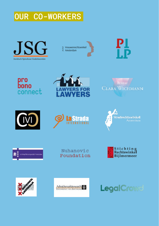OUR CO-WORKERS











**CLARA WICHMANN** 









Nuhanovic Foundation Stichting<br>Rechtswinkel Bijlmermeer





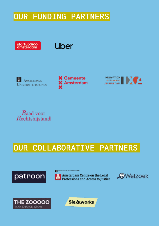## OUR FUNDING PARTNERS



### **Uber**



 $\mathbf \epsilon$  Gemeente Amsterdam





# OUR COLLABORATIVE PARTNERS



**Cy** UNIVERSITEIT VAN AMSTREDAM







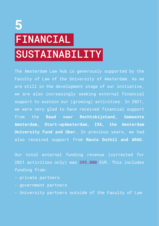# FINANCIAL SUSTAINABILITY **5**

The Amsterdam Law Hub is generously supported by the Faculty of Law of the University of Amsterdam. As we are still in the development stage of our initiative, we are also increasingly seeking external financial support to sustain our (growing) activities. In 2021, we were very glad to have received financial support from the **Raad voor Rechtsbijstand, Gemeente Amsterdam, Start-upAmsterdam, IXA, the Amsterdam University Fund and Uber**. In previous years, we had also received support from **Nauta Duthil and ARAG**.

Our total external funding revenue (corrected for 2021 activities only) was 395.000 EUR. This includes funding from:

- private partners
- government partners
- University partners outside of the Faculty of Law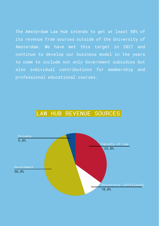The Amsterdam Law Hub intends to get at least 50% of its revenue from sources outside of the University of Amsterdam. We have met this target in 2021 and continue to develop our business model in the years to come to include not only Government subsidies but also individual contributions for membership and professional educational courses.



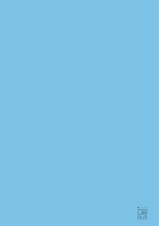